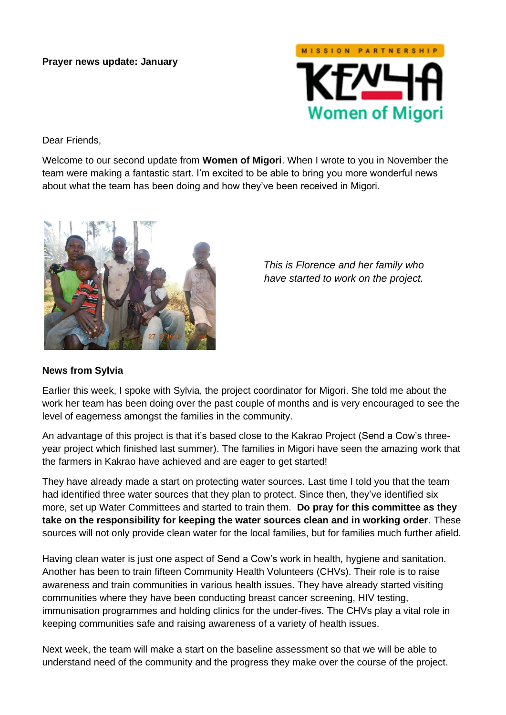## **Prayer news update: January**



Dear Friends,

Welcome to our second update from **Women of Migori**. When I wrote to you in November the team were making a fantastic start. I'm excited to be able to bring you more wonderful news about what the team has been doing and how they've been received in Migori.



*This is Florence and her family who have started to work on the project.*

## **News from Sylvia**

Earlier this week, I spoke with Sylvia, the project coordinator for Migori. She told me about the work her team has been doing over the past couple of months and is very encouraged to see the level of eagerness amongst the families in the community.

An advantage of this project is that it's based close to the Kakrao Project (Send a Cow's threeyear project which finished last summer). The families in Migori have seen the amazing work that the farmers in Kakrao have achieved and are eager to get started!

They have already made a start on protecting water sources. Last time I told you that the team had identified three water sources that they plan to protect. Since then, they've identified six more, set up Water Committees and started to train them. **Do pray for this committee as they take on the responsibility for keeping the water sources clean and in working order**. These sources will not only provide clean water for the local families, but for families much further afield.

Having clean water is just one aspect of Send a Cow's work in health, hygiene and sanitation. Another has been to train fifteen Community Health Volunteers (CHVs). Their role is to raise awareness and train communities in various health issues. They have already started visiting communities where they have been conducting breast cancer screening, HIV testing, immunisation programmes and holding clinics for the under-fives. The CHVs play a vital role in keeping communities safe and raising awareness of a variety of health issues.

Next week, the team will make a start on the baseline assessment so that we will be able to understand need of the community and the progress they make over the course of the project.